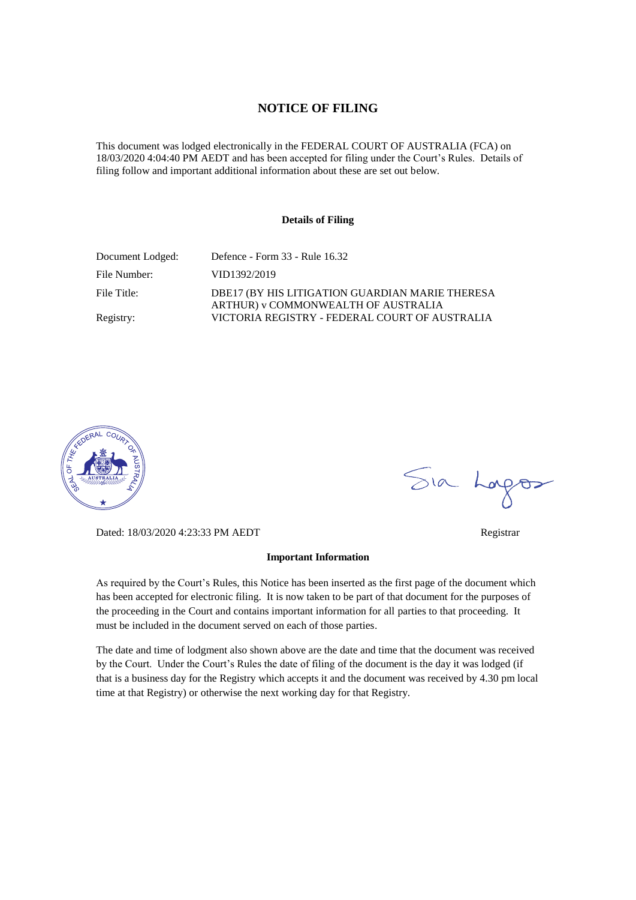### **NOTICE OF FILING**

This document was lodged electronically in the FEDERAL COURT OF AUSTRALIA (FCA) on 18/03/2020 4:04:40 PM AEDT and has been accepted for filing under the Court's Rules. Details of filing follow and important additional information about these are set out below.

#### **Details of Filing**

| Document Lodged: | Defence - Form 33 - Rule 16.32                                                         |
|------------------|----------------------------------------------------------------------------------------|
| File Number:     | VID1392/2019                                                                           |
| File Title:      | DBE17 (BY HIS LITIGATION GUARDIAN MARIE THERESA<br>ARTHUR) v COMMONWEALTH OF AUSTRALIA |
| Registry:        | VICTORIA REGISTRY - FEDERAL COURT OF AUSTRALIA                                         |



Dated: 18/03/2020 4:23:33 PM AEDT Registrar

#### **Important Information**

As required by the Court's Rules, this Notice has been inserted as the first page of the document which has been accepted for electronic filing. It is now taken to be part of that document for the purposes of the proceeding in the Court and contains important information for all parties to that proceeding. It must be included in the document served on each of those parties.

The date and time of lodgment also shown above are the date and time that the document was received by the Court. Under the Court's Rules the date of filing of the document is the day it was lodged (if that is a business day for the Registry which accepts it and the document was received by 4.30 pm local time at that Registry) or otherwise the next working day for that Registry.

Sia Logos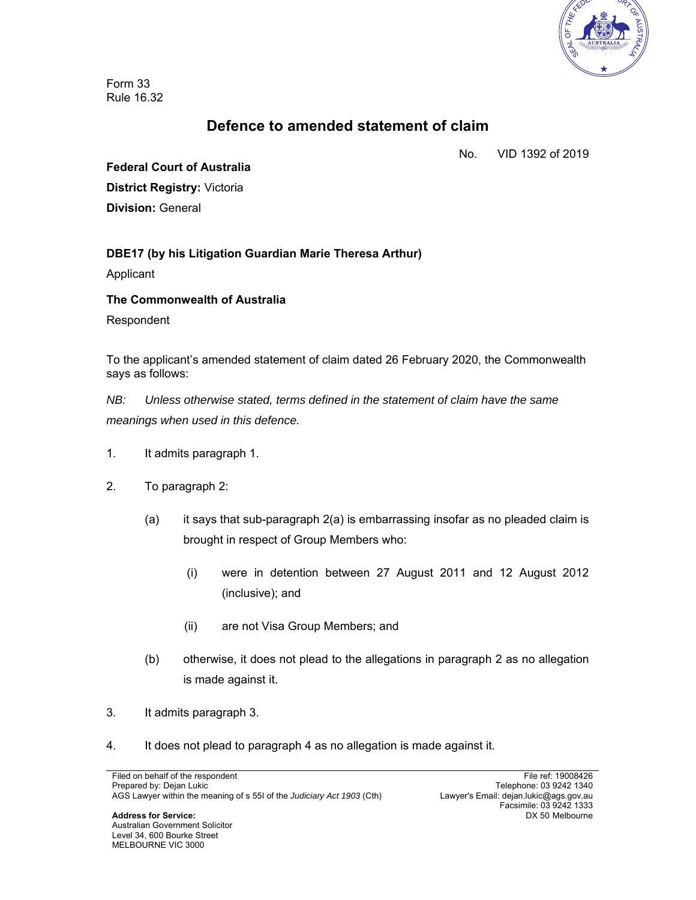

Form 33 Rule 16.32

# **Defence to amended statement of claim**

No. VID 1392 of 2019

**Federal Court of Australia District Registry:** Victoria **Division:** General

# **DBE17 (by his Litigation Guardian Marie Theresa Arthur)**

Applicant

### **The Commonwealth of Australia**

Respondent

To the applicant's amended statement of claim dated 26 February 2020, the Commonwealth says as follows:

*NB: Unless otherwise stated, terms defined in the statement of claim have the same meanings when used in this defence.* 

- 1. It admits paragraph 1.
- 2. To paragraph 2:
	- (a) it says that sub-paragraph 2(a) is embarrassing insofar as no pleaded claim is brought in respect of Group Members who:
		- (i) were in detention between 27 August 2011 and 12 August 2012 (inclusive); and
		- (ii) are not Visa Group Members; and
	- (b) otherwise, it does not plead to the allegations in paragraph 2 as no allegation is made against it.
- 3. It admits paragraph 3.
- 4. It does not plead to paragraph 4 as no allegation is made against it.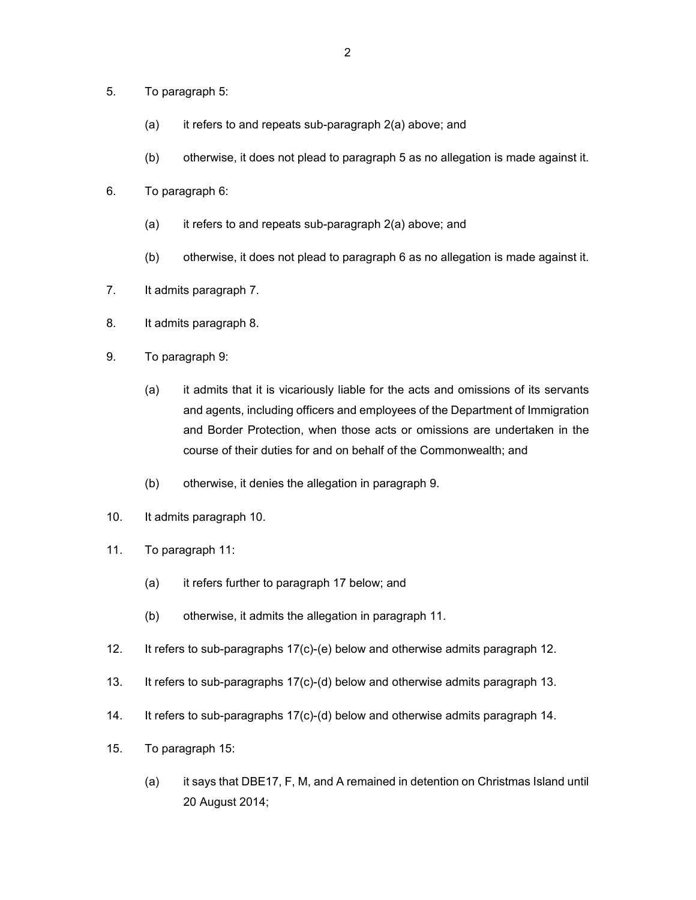- 5. To paragraph 5:
	- (a) it refers to and repeats sub-paragraph 2(a) above; and
	- (b) otherwise, it does not plead to paragraph 5 as no allegation is made against it.
- 6. To paragraph 6:
	- (a) it refers to and repeats sub-paragraph 2(a) above; and
	- (b) otherwise, it does not plead to paragraph 6 as no allegation is made against it.
- 7. It admits paragraph 7.
- 8. It admits paragraph 8.
- 9. To paragraph 9:
	- (a) it admits that it is vicariously liable for the acts and omissions of its servants and agents, including officers and employees of the Department of Immigration and Border Protection, when those acts or omissions are undertaken in the course of their duties for and on behalf of the Commonwealth; and
	- (b) otherwise, it denies the allegation in paragraph 9.
- 10. It admits paragraph 10.
- 11. To paragraph 11:
	- (a) it refers further to paragraph 17 below; and
	- (b) otherwise, it admits the allegation in paragraph 11.
- 12. It refers to sub-paragraphs 17(c)-(e) below and otherwise admits paragraph 12.
- 13. It refers to sub-paragraphs 17(c)-(d) below and otherwise admits paragraph 13.
- 14. It refers to sub-paragraphs 17(c)-(d) below and otherwise admits paragraph 14.
- 15. To paragraph 15:
	- (a) it says that DBE17, F, M, and A remained in detention on Christmas Island until 20 August 2014;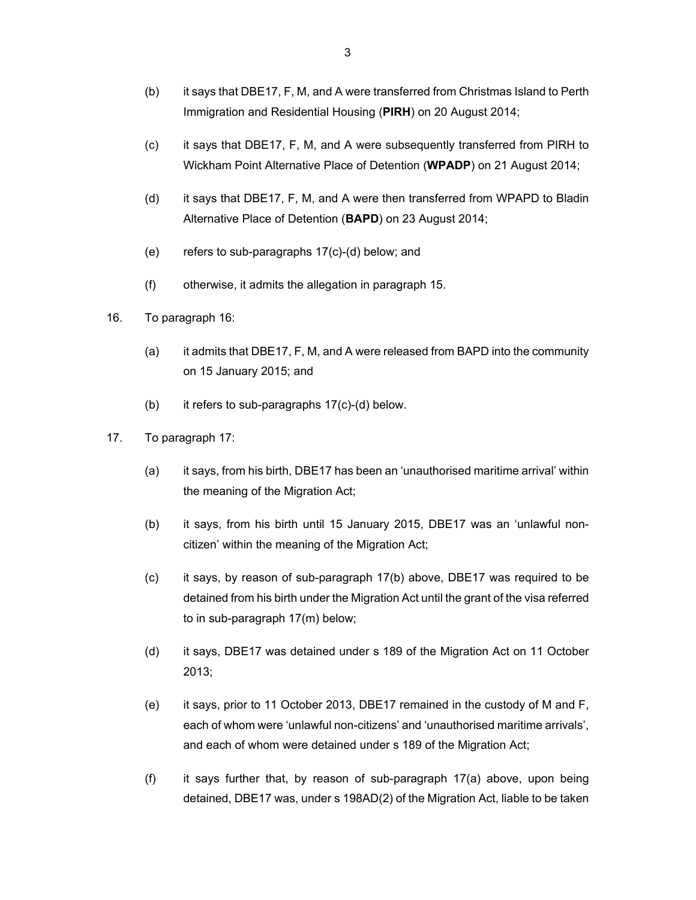- (b) it says that DBE17, F, M, and A were transferred from Christmas Island to Perth Immigration and Residential Housing (**PIRH**) on 20 August 2014;
- (c) it says that DBE17, F, M, and A were subsequently transferred from PIRH to Wickham Point Alternative Place of Detention (**WPADP**) on 21 August 2014;
- (d) it says that DBE17, F, M, and A were then transferred from WPAPD to Bladin Alternative Place of Detention (**BAPD**) on 23 August 2014;
- (e) refers to sub-paragraphs 17(c)-(d) below; and
- (f) otherwise, it admits the allegation in paragraph 15.
- 16. To paragraph 16:
	- (a) it admits that DBE17, F, M, and A were released from BAPD into the community on 15 January 2015; and
	- (b) it refers to sub-paragraphs 17(c)-(d) below.
- 17. To paragraph 17:
	- (a) it says, from his birth, DBE17 has been an 'unauthorised maritime arrival' within the meaning of the Migration Act;
	- (b) it says, from his birth until 15 January 2015, DBE17 was an 'unlawful noncitizen' within the meaning of the Migration Act;
	- (c) it says, by reason of sub-paragraph 17(b) above, DBE17 was required to be detained from his birth under the Migration Act until the grant of the visa referred to in sub-paragraph 17(m) below;
	- (d) it says, DBE17 was detained under s 189 of the Migration Act on 11 October 2013;
	- (e) it says, prior to 11 October 2013, DBE17 remained in the custody of M and F, each of whom were 'unlawful non-citizens' and 'unauthorised maritime arrivals', and each of whom were detained under s 189 of the Migration Act;
	- (f) it says further that, by reason of sub-paragraph 17(a) above, upon being detained, DBE17 was, under s 198AD(2) of the Migration Act, liable to be taken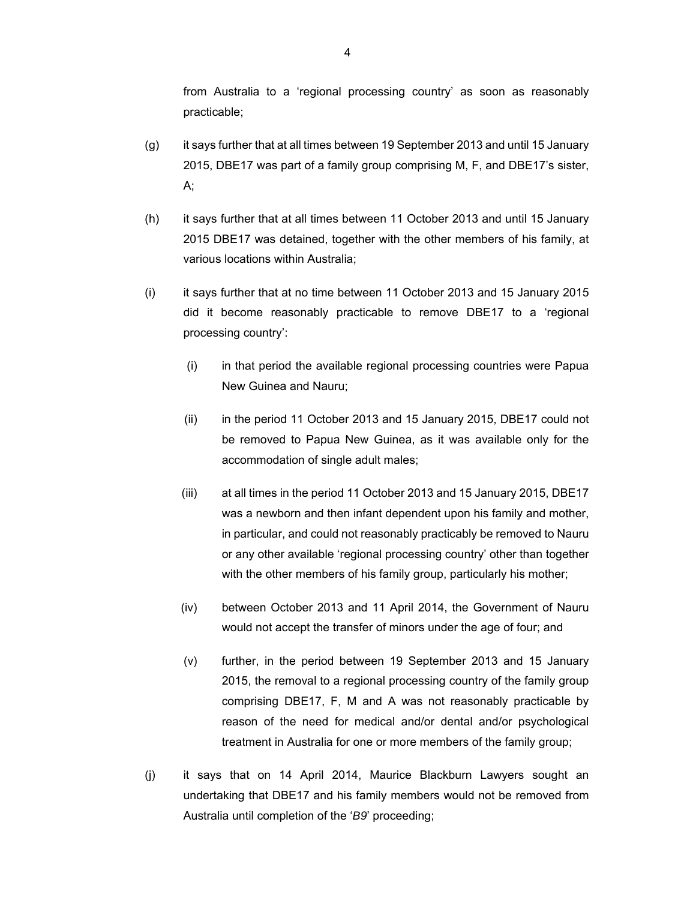from Australia to a 'regional processing country' as soon as reasonably practicable;

- (g) it says further that at all times between 19 September 2013 and until 15 January 2015, DBE17 was part of a family group comprising M, F, and DBE17's sister, A;
- (h) it says further that at all times between 11 October 2013 and until 15 January 2015 DBE17 was detained, together with the other members of his family, at various locations within Australia;
- (i) it says further that at no time between 11 October 2013 and 15 January 2015 did it become reasonably practicable to remove DBE17 to a 'regional processing country':
	- (i) in that period the available regional processing countries were Papua New Guinea and Nauru;
	- (ii) in the period 11 October 2013 and 15 January 2015, DBE17 could not be removed to Papua New Guinea, as it was available only for the accommodation of single adult males;
	- (iii) at all times in the period 11 October 2013 and 15 January 2015, DBE17 was a newborn and then infant dependent upon his family and mother, in particular, and could not reasonably practicably be removed to Nauru or any other available 'regional processing country' other than together with the other members of his family group, particularly his mother;
	- (iv) between October 2013 and 11 April 2014, the Government of Nauru would not accept the transfer of minors under the age of four; and
	- (v) further, in the period between 19 September 2013 and 15 January 2015, the removal to a regional processing country of the family group comprising DBE17, F, M and A was not reasonably practicable by reason of the need for medical and/or dental and/or psychological treatment in Australia for one or more members of the family group;
- (j) it says that on 14 April 2014, Maurice Blackburn Lawyers sought an undertaking that DBE17 and his family members would not be removed from Australia until completion of the '*B9*' proceeding;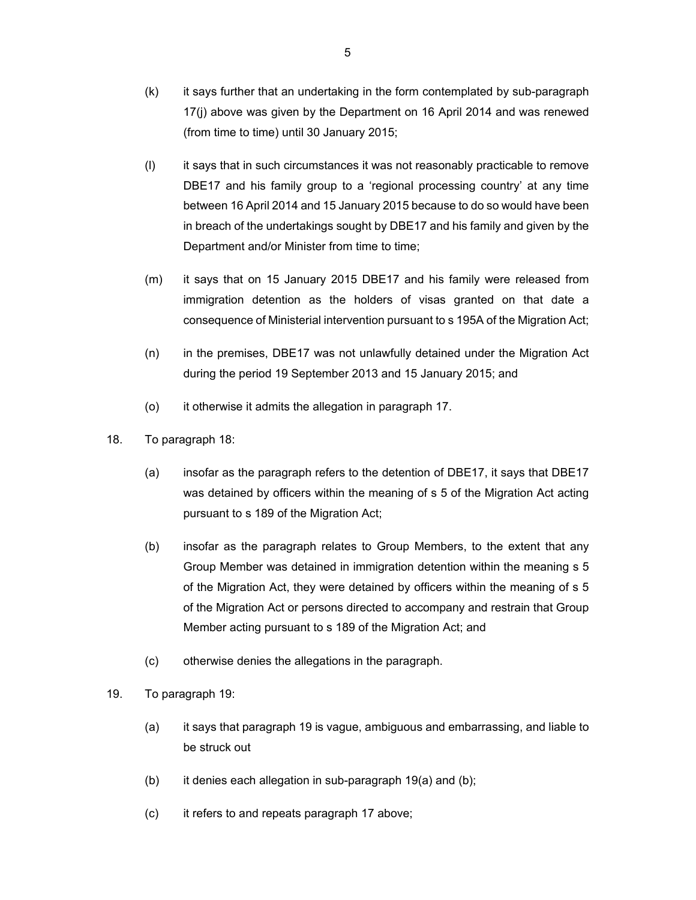- (k) it says further that an undertaking in the form contemplated by sub-paragraph 17(j) above was given by the Department on 16 April 2014 and was renewed (from time to time) until 30 January 2015;
- (l) it says that in such circumstances it was not reasonably practicable to remove DBE17 and his family group to a 'regional processing country' at any time between 16 April 2014 and 15 January 2015 because to do so would have been in breach of the undertakings sought by DBE17 and his family and given by the Department and/or Minister from time to time;
- (m) it says that on 15 January 2015 DBE17 and his family were released from immigration detention as the holders of visas granted on that date a consequence of Ministerial intervention pursuant to s 195A of the Migration Act;
- (n) in the premises, DBE17 was not unlawfully detained under the Migration Act during the period 19 September 2013 and 15 January 2015; and
- (o) it otherwise it admits the allegation in paragraph 17.
- 18. To paragraph 18:
	- (a) insofar as the paragraph refers to the detention of DBE17, it says that DBE17 was detained by officers within the meaning of s 5 of the Migration Act acting pursuant to s 189 of the Migration Act;
	- (b) insofar as the paragraph relates to Group Members, to the extent that any Group Member was detained in immigration detention within the meaning s 5 of the Migration Act, they were detained by officers within the meaning of s 5 of the Migration Act or persons directed to accompany and restrain that Group Member acting pursuant to s 189 of the Migration Act; and
	- (c) otherwise denies the allegations in the paragraph.
- 19. To paragraph 19:
	- (a) it says that paragraph 19 is vague, ambiguous and embarrassing, and liable to be struck out
	- (b) it denies each allegation in sub-paragraph 19(a) and (b);
	- (c) it refers to and repeats paragraph 17 above;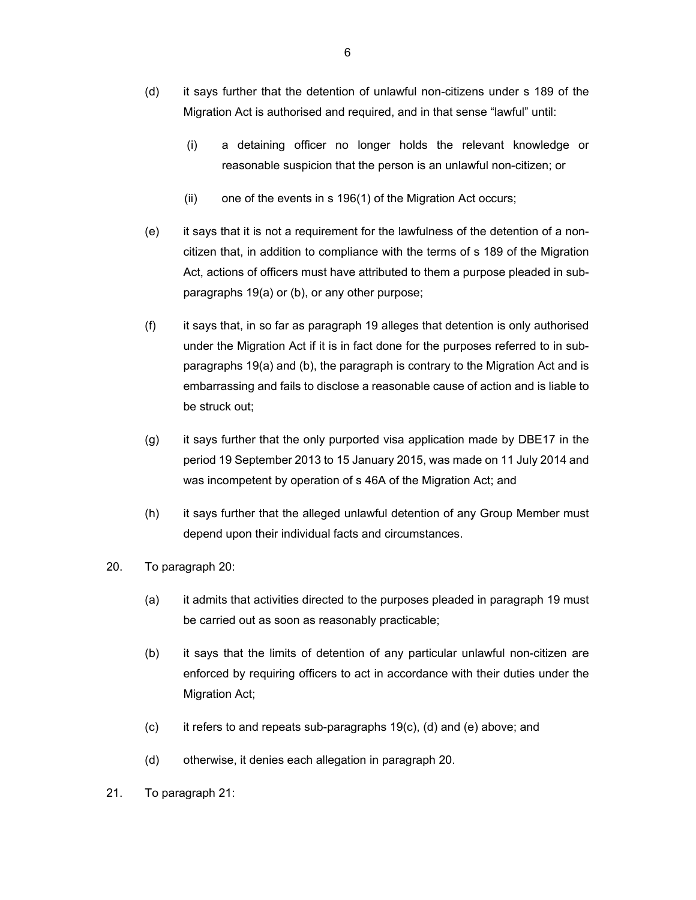- (d) it says further that the detention of unlawful non-citizens under s 189 of the Migration Act is authorised and required, and in that sense "lawful" until:
	- (i) a detaining officer no longer holds the relevant knowledge or reasonable suspicion that the person is an unlawful non-citizen; or
	- (ii) one of the events in s 196(1) of the Migration Act occurs;
- (e) it says that it is not a requirement for the lawfulness of the detention of a noncitizen that, in addition to compliance with the terms of s 189 of the Migration Act, actions of officers must have attributed to them a purpose pleaded in subparagraphs 19(a) or (b), or any other purpose;
- (f) it says that, in so far as paragraph 19 alleges that detention is only authorised under the Migration Act if it is in fact done for the purposes referred to in subparagraphs 19(a) and (b), the paragraph is contrary to the Migration Act and is embarrassing and fails to disclose a reasonable cause of action and is liable to be struck out;
- (g) it says further that the only purported visa application made by DBE17 in the period 19 September 2013 to 15 January 2015, was made on 11 July 2014 and was incompetent by operation of s 46A of the Migration Act; and
- (h) it says further that the alleged unlawful detention of any Group Member must depend upon their individual facts and circumstances.
- 20. To paragraph 20:
	- (a) it admits that activities directed to the purposes pleaded in paragraph 19 must be carried out as soon as reasonably practicable;
	- (b) it says that the limits of detention of any particular unlawful non-citizen are enforced by requiring officers to act in accordance with their duties under the Migration Act;
	- (c) it refers to and repeats sub-paragraphs 19(c), (d) and (e) above; and
	- (d) otherwise, it denies each allegation in paragraph 20.
- 21. To paragraph 21: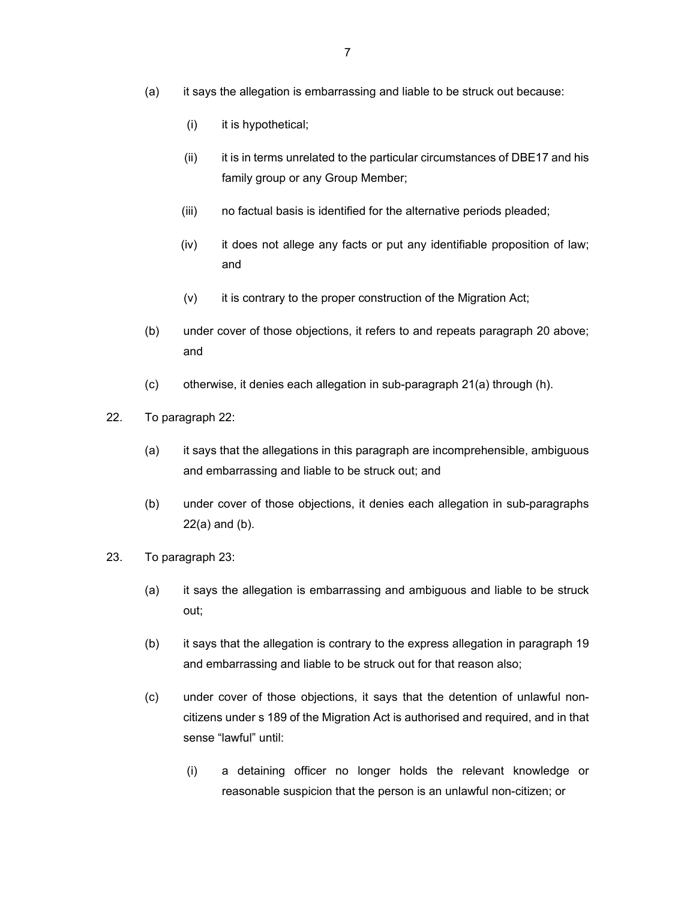- (a) it says the allegation is embarrassing and liable to be struck out because:
	- (i) it is hypothetical;
	- (ii) it is in terms unrelated to the particular circumstances of DBE17 and his family group or any Group Member;
	- (iii) no factual basis is identified for the alternative periods pleaded;
	- (iv) it does not allege any facts or put any identifiable proposition of law; and
	- (v) it is contrary to the proper construction of the Migration Act;
- (b) under cover of those objections, it refers to and repeats paragraph 20 above; and
- (c) otherwise, it denies each allegation in sub-paragraph 21(a) through (h).
- 22. To paragraph 22:
	- (a) it says that the allegations in this paragraph are incomprehensible, ambiguous and embarrassing and liable to be struck out; and
	- (b) under cover of those objections, it denies each allegation in sub-paragraphs 22(a) and (b).
- 23. To paragraph 23:
	- (a) it says the allegation is embarrassing and ambiguous and liable to be struck out;
	- (b) it says that the allegation is contrary to the express allegation in paragraph 19 and embarrassing and liable to be struck out for that reason also;
	- (c) under cover of those objections, it says that the detention of unlawful noncitizens under s 189 of the Migration Act is authorised and required, and in that sense "lawful" until:
		- (i) a detaining officer no longer holds the relevant knowledge or reasonable suspicion that the person is an unlawful non-citizen; or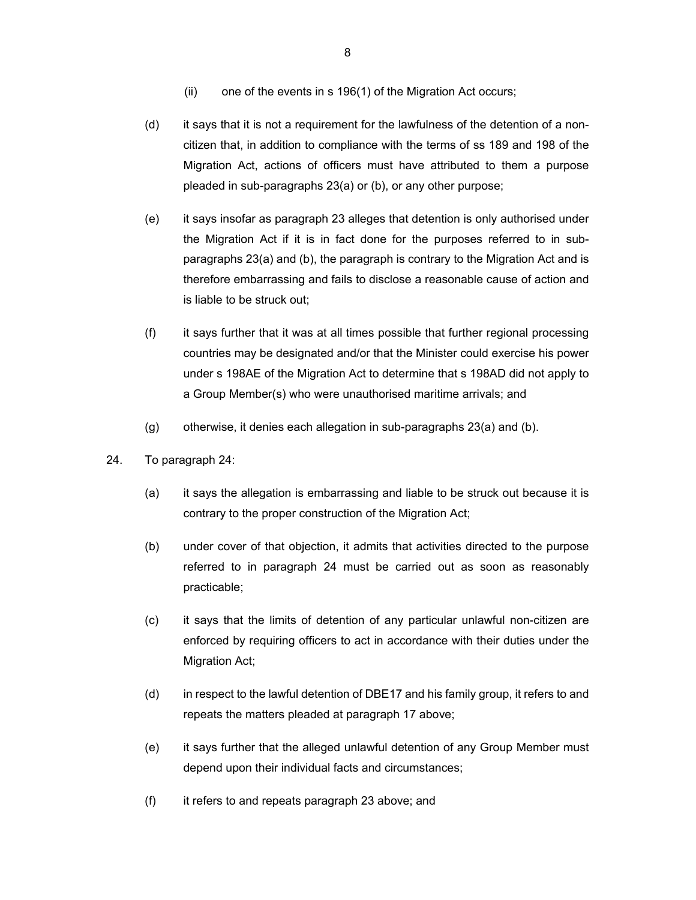- (ii) one of the events in s 196(1) of the Migration Act occurs;
- (d) it says that it is not a requirement for the lawfulness of the detention of a noncitizen that, in addition to compliance with the terms of ss 189 and 198 of the Migration Act, actions of officers must have attributed to them a purpose pleaded in sub-paragraphs 23(a) or (b), or any other purpose;
- (e) it says insofar as paragraph 23 alleges that detention is only authorised under the Migration Act if it is in fact done for the purposes referred to in subparagraphs 23(a) and (b), the paragraph is contrary to the Migration Act and is therefore embarrassing and fails to disclose a reasonable cause of action and is liable to be struck out;
- (f) it says further that it was at all times possible that further regional processing countries may be designated and/or that the Minister could exercise his power under s 198AE of the Migration Act to determine that s 198AD did not apply to a Group Member(s) who were unauthorised maritime arrivals; and
- (g) otherwise, it denies each allegation in sub-paragraphs 23(a) and (b).
- 24. To paragraph 24:
	- (a) it says the allegation is embarrassing and liable to be struck out because it is contrary to the proper construction of the Migration Act;
	- (b) under cover of that objection, it admits that activities directed to the purpose referred to in paragraph 24 must be carried out as soon as reasonably practicable;
	- (c) it says that the limits of detention of any particular unlawful non-citizen are enforced by requiring officers to act in accordance with their duties under the Migration Act;
	- (d) in respect to the lawful detention of DBE17 and his family group, it refers to and repeats the matters pleaded at paragraph 17 above;
	- (e) it says further that the alleged unlawful detention of any Group Member must depend upon their individual facts and circumstances;
	- (f) it refers to and repeats paragraph 23 above; and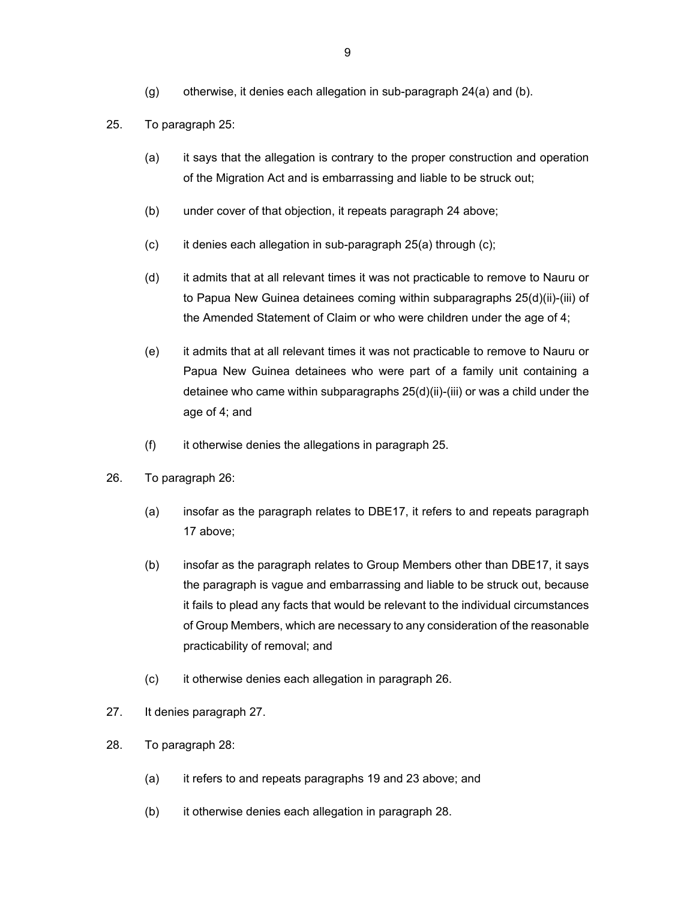(g) otherwise, it denies each allegation in sub-paragraph 24(a) and (b).

#### 25. To paragraph 25:

- (a) it says that the allegation is contrary to the proper construction and operation of the Migration Act and is embarrassing and liable to be struck out;
- (b) under cover of that objection, it repeats paragraph 24 above;
- $(c)$  it denies each allegation in sub-paragraph 25(a) through  $(c)$ ;
- (d) it admits that at all relevant times it was not practicable to remove to Nauru or to Papua New Guinea detainees coming within subparagraphs 25(d)(ii)-(iii) of the Amended Statement of Claim or who were children under the age of 4;
- (e) it admits that at all relevant times it was not practicable to remove to Nauru or Papua New Guinea detainees who were part of a family unit containing a detainee who came within subparagraphs 25(d)(ii)-(iii) or was a child under the age of 4; and
- (f) it otherwise denies the allegations in paragraph 25.
- 26. To paragraph 26:
	- (a) insofar as the paragraph relates to DBE17, it refers to and repeats paragraph 17 above;
	- (b) insofar as the paragraph relates to Group Members other than DBE17, it says the paragraph is vague and embarrassing and liable to be struck out, because it fails to plead any facts that would be relevant to the individual circumstances of Group Members, which are necessary to any consideration of the reasonable practicability of removal; and
	- (c) it otherwise denies each allegation in paragraph 26.
- 27. It denies paragraph 27.
- 28. To paragraph 28:
	- (a) it refers to and repeats paragraphs 19 and 23 above; and
	- (b) it otherwise denies each allegation in paragraph 28.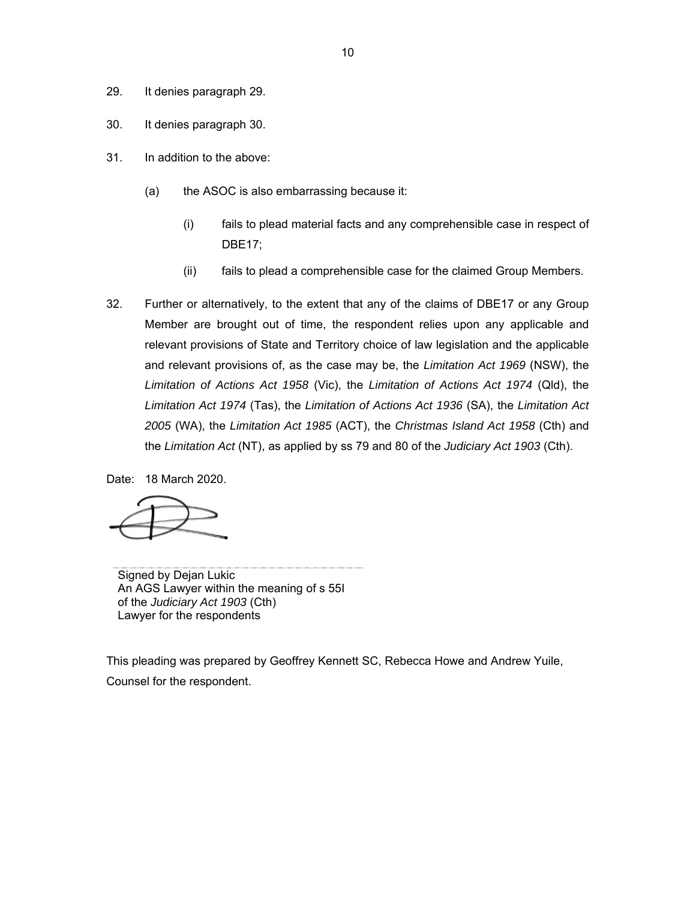- 29. It denies paragraph 29.
- 30. It denies paragraph 30.
- 31. In addition to the above:
	- (a) the ASOC is also embarrassing because it:
		- (i) fails to plead material facts and any comprehensible case in respect of DBE17;
		- (ii) fails to plead a comprehensible case for the claimed Group Members.
- 32. Further or alternatively, to the extent that any of the claims of DBE17 or any Group Member are brought out of time, the respondent relies upon any applicable and relevant provisions of State and Territory choice of law legislation and the applicable and relevant provisions of, as the case may be, the *Limitation Act 1969* (NSW), the *Limitation of Actions Act 1958* (Vic), the *Limitation of Actions Act 1974* (Qld), the *Limitation Act 1974* (Tas), the *Limitation of Actions Act 1936* (SA), the *Limitation Act 2005* (WA), the *Limitation Act 1985* (ACT), the *Christmas Island Act 1958* (Cth) and the *Limitation Act* (NT), as applied by ss 79 and 80 of the *Judiciary Act 1903* (Cth).

Date: 18 March 2020.

Signed by Dejan Lukic An AGS Lawyer within the meaning of s 55I of the *Judiciary Act 1903* (Cth) Lawyer for the respondents

This pleading was prepared by Geoffrey Kennett SC, Rebecca Howe and Andrew Yuile, Counsel for the respondent.